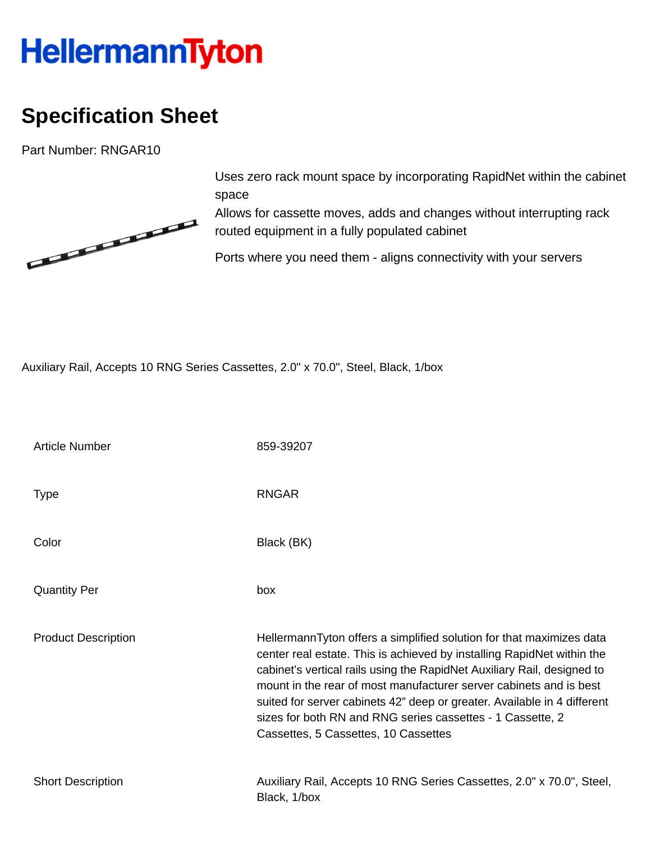## **HellermannTyton**

## **Specification Sheet**

Part Number: RNGAR10



Uses zero rack mount space by incorporating RapidNet within the cabinet space

Allows for cassette moves, adds and changes without interrupting rack routed equipment in a fully populated cabinet

Ports where you need them - aligns connectivity with your servers

Auxiliary Rail, Accepts 10 RNG Series Cassettes, 2.0" x 70.0", Steel, Black, 1/box

| <b>Article Number</b>      | 859-39207                                                                                                                                                                                                                                                                                                                                                                                                                                                                         |
|----------------------------|-----------------------------------------------------------------------------------------------------------------------------------------------------------------------------------------------------------------------------------------------------------------------------------------------------------------------------------------------------------------------------------------------------------------------------------------------------------------------------------|
| <b>Type</b>                | <b>RNGAR</b>                                                                                                                                                                                                                                                                                                                                                                                                                                                                      |
| Color                      | Black (BK)                                                                                                                                                                                                                                                                                                                                                                                                                                                                        |
| <b>Quantity Per</b>        | box                                                                                                                                                                                                                                                                                                                                                                                                                                                                               |
| <b>Product Description</b> | HellermannTyton offers a simplified solution for that maximizes data<br>center real estate. This is achieved by installing RapidNet within the<br>cabinet's vertical rails using the RapidNet Auxiliary Rail, designed to<br>mount in the rear of most manufacturer server cabinets and is best<br>suited for server cabinets 42" deep or greater. Available in 4 different<br>sizes for both RN and RNG series cassettes - 1 Cassette, 2<br>Cassettes, 5 Cassettes, 10 Cassettes |
| <b>Short Description</b>   | Auxiliary Rail, Accepts 10 RNG Series Cassettes, 2.0" x 70.0", Steel,<br>Black, 1/box                                                                                                                                                                                                                                                                                                                                                                                             |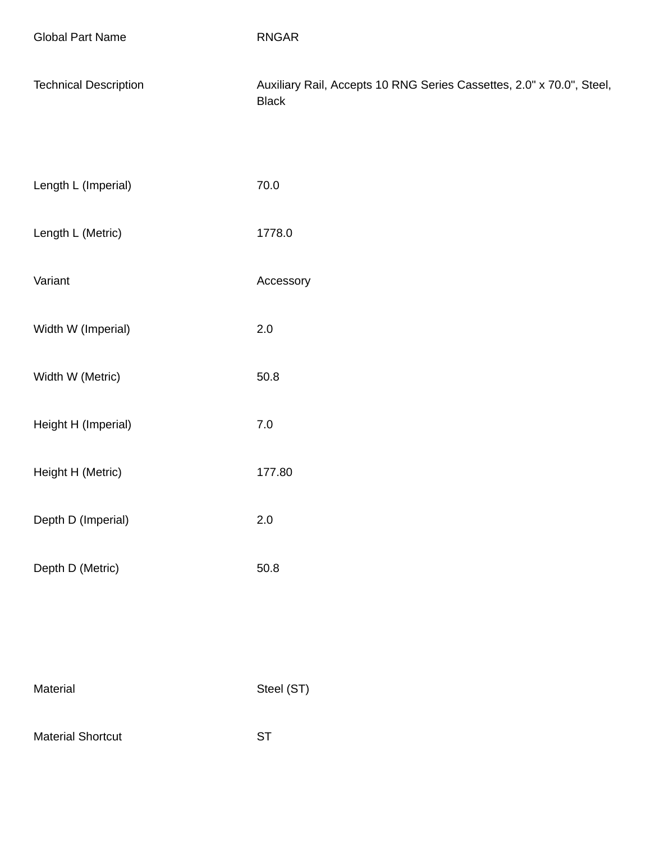| <b>Global Part Name</b>      | <b>RNGAR</b>                                                                          |
|------------------------------|---------------------------------------------------------------------------------------|
| <b>Technical Description</b> | Auxiliary Rail, Accepts 10 RNG Series Cassettes, 2.0" x 70.0", Steel,<br><b>Black</b> |
| Length L (Imperial)          | $70.0\,$                                                                              |
| Length L (Metric)            | 1778.0                                                                                |
| Variant                      | Accessory                                                                             |
| Width W (Imperial)           | $2.0\,$                                                                               |
| Width W (Metric)             | 50.8                                                                                  |
| Height H (Imperial)          | $7.0\,$                                                                               |
| Height H (Metric)            | 177.80                                                                                |
| Depth D (Imperial)           | $2.0\,$                                                                               |
| Depth D (Metric)             | $50.8\,$                                                                              |
|                              |                                                                                       |
|                              |                                                                                       |
| Material                     | Steel (ST)                                                                            |

Material Shortcut ST